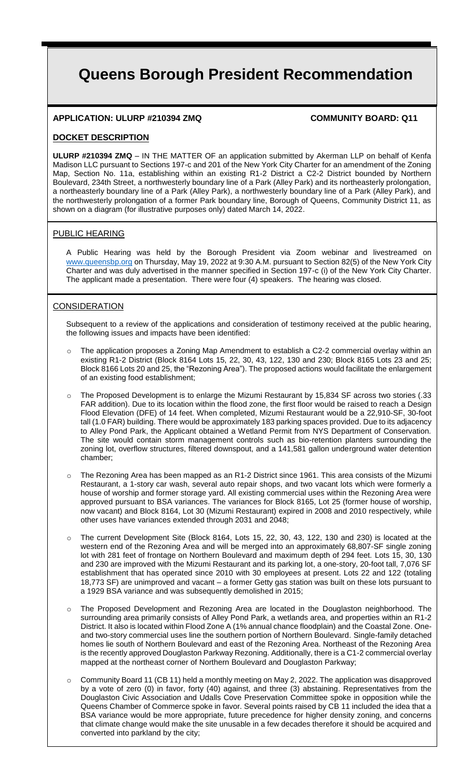# **Queens Borough President Recommendation**

# **APPLICATION: ULURP #210394 ZMQ COMMUNITY BOARD: Q11**

### **DOCKET DESCRIPTION**

**ULURP #210394 ZMQ** – IN THE MATTER OF an application submitted by Akerman LLP on behalf of Kenfa Madison LLC pursuant to Sections 197-c and 201 of the New York City Charter for an amendment of the Zoning Map, Section No. 11a, establishing within an existing R1-2 District a C2-2 District bounded by Northern Boulevard, 234th Street, a northwesterly boundary line of a Park (Alley Park) and its northeasterly prolongation, a northeasterly boundary line of a Park (Alley Park), a northwesterly boundary line of a Park (Alley Park), and the northwesterly prolongation of a former Park boundary line, Borough of Queens, Community District 11, as shown on a diagram (for illustrative purposes only) dated March 14, 2022.

#### PUBLIC HEARING

A Public Hearing was held by the Borough President via Zoom webinar and livestreamed on www.queensbp.org on Thursday, May 19, 2022 at 9:30 A.M. pursuant to Section 82(5) of the New York City Charter and was duly advertised in the manner specified in Section 197-c (i) of the New York City Charter. The applicant made a presentation. There were four (4) speakers. The hearing was closed.

# **CONSIDERATION**

Subsequent to a review of the applications and consideration of testimony received at the public hearing, the following issues and impacts have been identified:

- The application proposes a Zoning Map Amendment to establish a C2-2 commercial overlay within an existing R1-2 District (Block 8164 Lots 15, 22, 30, 43, 122, 130 and 230; Block 8165 Lots 23 and 25; Block 8166 Lots 20 and 25, the "Rezoning Area"). The proposed actions would facilitate the enlargement of an existing food establishment;
- o The Proposed Development is to enlarge the Mizumi Restaurant by 15,834 SF across two stories (.33 FAR addition). Due to its location within the flood zone, the first floor would be raised to reach a Design Flood Elevation (DFE) of 14 feet. When completed, Mizumi Restaurant would be a 22,910-SF, 30-foot tall (1.0 FAR) building. There would be approximately 183 parking spaces provided. Due to its adjacency to Alley Pond Park, the Applicant obtained a Wetland Permit from NYS Department of Conservation. The site would contain storm management controls such as bio-retention planters surrounding the zoning lot, overflow structures, filtered downspout, and a 141,581 gallon underground water detention chamber;
- $\circ$  The Rezoning Area has been mapped as an R1-2 District since 1961. This area consists of the Mizumi Restaurant, a 1-story car wash, several auto repair shops, and two vacant lots which were formerly a house of worship and former storage yard. All existing commercial uses within the Rezoning Area were approved pursuant to BSA variances. The variances for Block 8165, Lot 25 (former house of worship, now vacant) and Block 8164, Lot 30 (Mizumi Restaurant) expired in 2008 and 2010 respectively, while other uses have variances extended through 2031 and 2048;
- o The current Development Site (Block 8164, Lots 15, 22, 30, 43, 122, 130 and 230) is located at the western end of the Rezoning Area and will be merged into an approximately 68,807-SF single zoning lot with 281 feet of frontage on Northern Boulevard and maximum depth of 294 feet. Lots 15, 30, 130 and 230 are improved with the Mizumi Restaurant and its parking lot, a one-story, 20-foot tall, 7,076 SF establishment that has operated since 2010 with 30 employees at present. Lots 22 and 122 (totaling 18,773 SF) are unimproved and vacant – a former Getty gas station was built on these lots pursuant to a 1929 BSA variance and was subsequently demolished in 2015;
- o The Proposed Development and Rezoning Area are located in the Douglaston neighborhood. The surrounding area primarily consists of Alley Pond Park, a wetlands area, and properties within an R1-2 District. It also is located within Flood Zone A (1% annual chance floodplain) and the Coastal Zone. Oneand two-story commercial uses line the southern portion of Northern Boulevard. Single-family detached homes lie south of Northern Boulevard and east of the Rezoning Area. Northeast of the Rezoning Area is the recently approved Douglaston Parkway Rezoning. Additionally, there is a C1-2 commercial overlay mapped at the northeast corner of Northern Boulevard and Douglaston Parkway;
- Community Board 11 (CB 11) held a monthly meeting on May 2, 2022. The application was disapproved by a vote of zero (0) in favor, forty (40) against, and three (3) abstaining. Representatives from the Douglaston Civic Association and Udalls Cove Preservation Committee spoke in opposition while the Queens Chamber of Commerce spoke in favor. Several points raised by CB 11 included the idea that a BSA variance would be more appropriate, future precedence for higher density zoning, and concerns that climate change would make the site unusable in a few decades therefore it should be acquired and converted into parkland by the city;